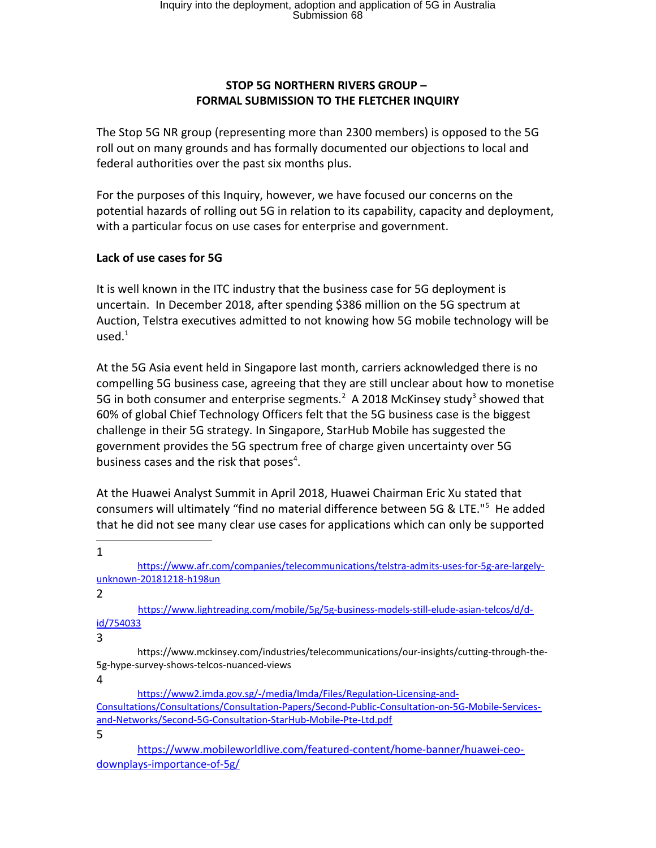#### **STOP 5G NORTHERN RIVERS GROUP – FORMAL SUBMISSION TO THE FLETCHER INQUIRY**

The Stop 5G NR group (representing more than 2300 members) is opposed to the 5G roll out on many grounds and has formally documented our objections to local and federal authorities over the past six months plus.

For the purposes of this Inquiry, however, we have focused our concerns on the potential hazards of rolling out 5G in relation to its capability, capacity and deployment, with a particular focus on use cases for enterprise and government.

#### **Lack of use cases for 5G**

It is well known in the ITC industry that the business case for 5G deployment is uncertain. In December 2018, after spending \$386 million on the 5G spectrum at Auction, Telstra executives admitted to not knowing how 5G mobile technology will be used. $^1$ 

At the 5G Asia event held in Singapore last month, carriers acknowledged there is no compelling 5G business case, agreeing that they are still unclear about how to monetise 5G in both consumer and enterprise segments.<sup>2</sup> A 2018 McKinsey study<sup>3</sup> showed that 60% of global Chief Technology Officers felt that the 5G business case is the biggest challenge in their 5G strategy. In Singapore, StarHub Mobile has suggested the government provides the 5G spectrum free of charge given uncertainty over 5G business cases and the risk that poses<sup>4</sup>.

At the Huawei Analyst Summit in April 2018, Huawei Chairman Eric Xu stated that consumers will ultimately "find no material difference between 5G & LTE."<sup>5</sup> He added that he did not see many clear use cases for applications which can only be supported

1

https://www.afr.com/companies/telecommunications/telstra-admits-uses-for-5g-are-largelyunknown-20181218-h198un

2

https://www.lightreading.com/mobile/5g/5g-business-models-still-elude-asian-telcos/d/did/754033

3

 https://www.mckinsey.com/industries/telecommunications/our-insights/cutting-through-the-5g-hype-survey-shows-telcos-nuanced-views

4

https://www2.imda.gov.sg/-/media/Imda/Files/Regulation-Licensing-and-Consultations/Consultations/Consultation-Papers/Second-Public-Consultation-on-5G-Mobile-Servicesand-Networks/Second-5G-Consultation-StarHub-Mobile-Pte-Ltd.pdf

5

https://www.mobileworldlive.com/featured-content/home-banner/huawei-ceodownplays-importance-of-5g/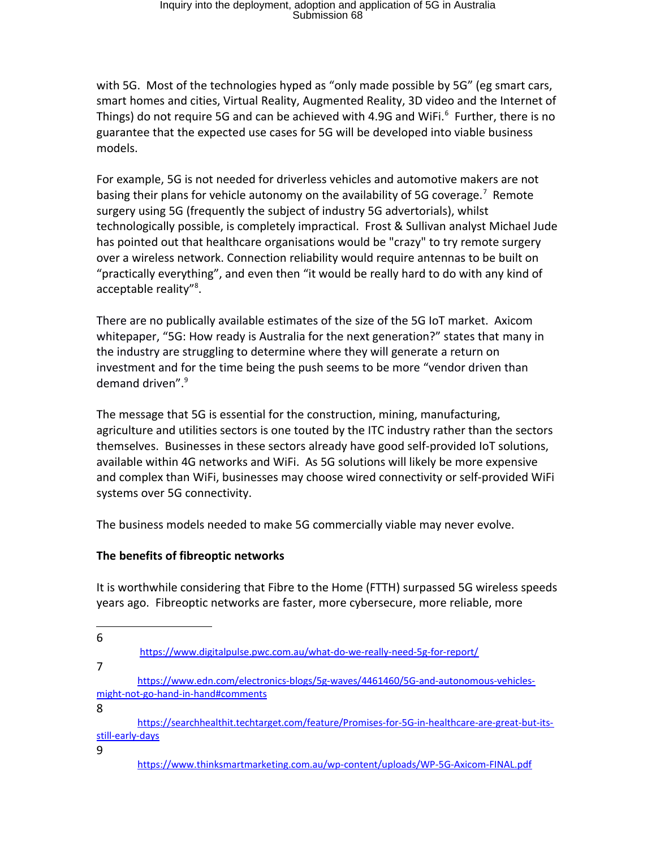with 5G. Most of the technologies hyped as "only made possible by 5G" (eg smart cars, smart homes and cities, Virtual Reality, Augmented Reality, 3D video and the Internet of Things) do not require 5G and can be achieved with 4.9G and WiFi.<sup>6</sup> Further, there is no guarantee that the expected use cases for 5G will be developed into viable business models.

For example, 5G is not needed for driverless vehicles and automotive makers are not basing their plans for vehicle autonomy on the availability of 5G coverage.<sup>7</sup> Remote surgery using 5G (frequently the subject of industry 5G advertorials), whilst technologically possible, is completely impractical. Frost & Sullivan analyst Michael Jude has pointed out that healthcare organisations would be "crazy" to try remote surgery over a wireless network. Connection reliability would require antennas to be built on "practically everything", and even then "it would be really hard to do with any kind of acceptable reality"<sup>8</sup>.

There are no publically available estimates of the size of the 5G IoT market. Axicom whitepaper, "5G: How ready is Australia for the next generation?" states that many in the industry are struggling to determine where they will generate a return on investment and for the time being the push seems to be more "vendor driven than demand driven".<sup>9</sup>

The message that 5G is essential for the construction, mining, manufacturing, agriculture and utilities sectors is one touted by the ITC industry rather than the sectors themselves. Businesses in these sectors already have good self-provided IoT solutions, available within 4G networks and WiFi. As 5G solutions will likely be more expensive and complex than WiFi, businesses may choose wired connectivity or self-provided WiFi systems over 5G connectivity.

The business models needed to make 5G commercially viable may never evolve.

# **The benefits of fibreoptic networks**

It is worthwhile considering that Fibre to the Home (FTTH) surpassed 5G wireless speeds years ago. Fibreoptic networks are faster, more cybersecure, more reliable, more

7

8

9

<sup>6</sup>

https://www.digitalpulse.pwc.com.au/what-do-we-really-need-5g-for-report/

https://www.edn.com/electronics-blogs/5g-waves/4461460/5G-and-autonomous-vehiclesmight-not-go-hand-in-hand#comments

https://searchhealthit.techtarget.com/feature/Promises-for-5G-in-healthcare-are-great-but-itsstill-early-days

https://www.thinksmartmarketing.com.au/wp-content/uploads/WP-5G-Axicom-FINAL.pdf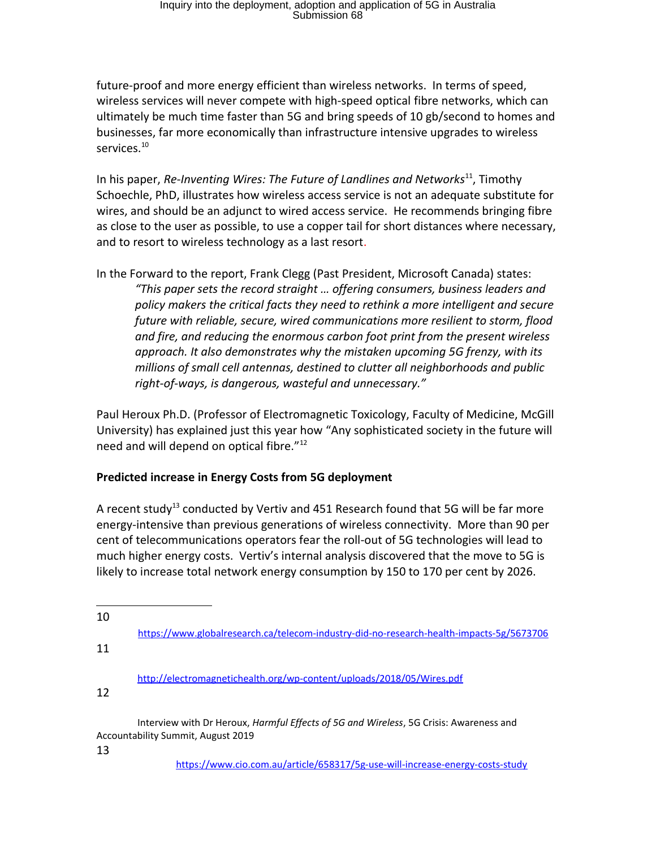future-proof and more energy efficient than wireless networks. In terms of speed, wireless services will never compete with high-speed optical fibre networks, which can ultimately be much time faster than 5G and bring speeds of 10 gb/second to homes and businesses, far more economically than infrastructure intensive upgrades to wireless services. $^{10}$ 

In his paper, *Re-Inventing Wires: The Future of Landlines and Networks*<sup>11</sup>, Timothy Schoechle, PhD, illustrates how wireless access service is not an adequate substitute for wires, and should be an adjunct to wired access service. He recommends bringing fibre as close to the user as possible, to use a copper tail for short distances where necessary, and to resort to wireless technology as a last resort.

In the Forward to the report, Frank Clegg (Past President, Microsoft Canada) states: *"This paper sets the record straight … offering consumers, business leaders and policy makers the critical facts they need to rethink a more intelligent and secure future with reliable, secure, wired communications more resilient to storm, flood and fire, and reducing the enormous carbon foot print from the present wireless approach. It also demonstrates why the mistaken upcoming 5G frenzy, with its millions of small cell antennas, destined to clutter all neighborhoods and public right-of-ways, is dangerous, wasteful and unnecessary."*

Paul Heroux Ph.D. (Professor of Electromagnetic Toxicology, Faculty of Medicine, McGill University) has explained just this year how "Any sophisticated society in the future will need and will depend on optical fibre."<sup>12</sup>

# **Predicted increase in Energy Costs from 5G deployment**

A recent study<sup>13</sup> conducted by Vertiv and 451 Research found that 5G will be far more energy-intensive than previous generations of wireless connectivity. More than 90 per cent of telecommunications operators fear the roll-out of 5G technologies will lead to much higher energy costs. Vertiv's internal analysis discovered that the move to 5G is likely to increase total network energy consumption by 150 to 170 per cent by 2026.

https://www.globalresearch.ca/telecom-industry-did-no-research-health-impacts-5g/5673706

11

http://electromagnetichealth.org/wp-content/uploads/2018/05/Wires.pdf

12

 Interview with Dr Heroux, *Harmful Effects of 5G and Wireless*, 5G Crisis: Awareness and Accountability Summit, August 2019

13

https://www.cio.com.au/article/658317/5g-use-will-increase-energy-costs-study

<sup>10</sup>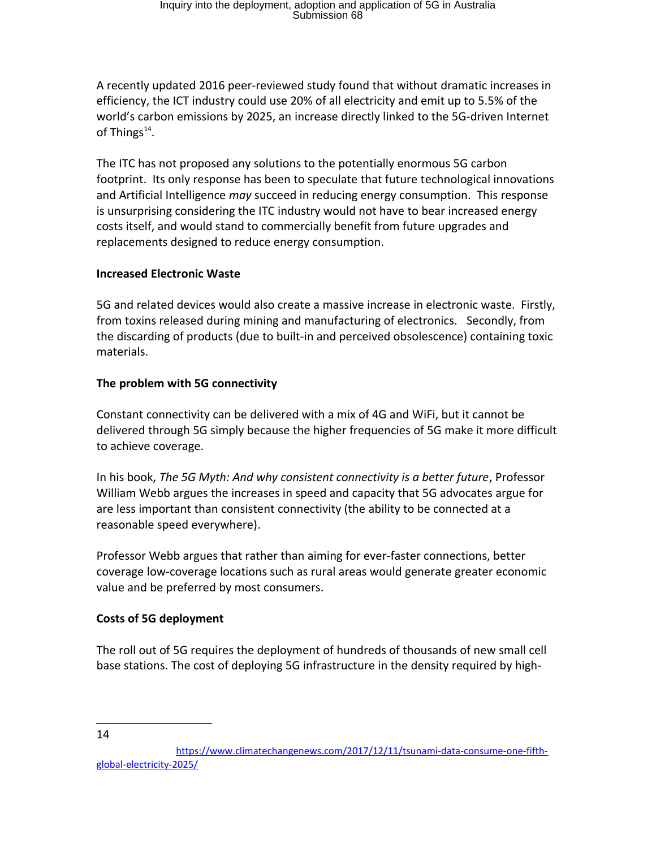A recently updated 2016 peer-reviewed study found that without dramatic increases in efficiency, the ICT industry could use 20% of all electricity and emit up to 5.5% of the world's carbon emissions by 2025, an increase directly linked to the 5G-driven Internet of Things<sup>14</sup>.

The ITC has not proposed any solutions to the potentially enormous 5G carbon footprint. Its only response has been to speculate that future technological innovations and Artificial Intelligence *may* succeed in reducing energy consumption. This response is unsurprising considering the ITC industry would not have to bear increased energy costs itself, and would stand to commercially benefit from future upgrades and replacements designed to reduce energy consumption.

# **Increased Electronic Waste**

5G and related devices would also create a massive increase in electronic waste. Firstly, from toxins released during mining and manufacturing of electronics. Secondly, from the discarding of products (due to built-in and perceived obsolescence) containing toxic materials.

# **The problem with 5G connectivity**

Constant connectivity can be delivered with a mix of 4G and WiFi, but it cannot be delivered through 5G simply because the higher frequencies of 5G make it more difficult to achieve coverage.

In his book, *The 5G Myth: And why consistent connectivity is a better future*, Professor William Webb argues the increases in speed and capacity that 5G advocates argue for are less important than consistent connectivity (the ability to be connected at a reasonable speed everywhere).

Professor Webb argues that rather than aiming for ever-faster connections, better coverage low-coverage locations such as rural areas would generate greater economic value and be preferred by most consumers.

# **Costs of 5G deployment**

The roll out of 5G requires the deployment of hundreds of thousands of new small cell base stations. The cost of deploying 5G infrastructure in the density required by high-

<sup>14</sup>

https://www.climatechangenews.com/2017/12/11/tsunami-data-consume-one-fifthglobal-electricity-2025/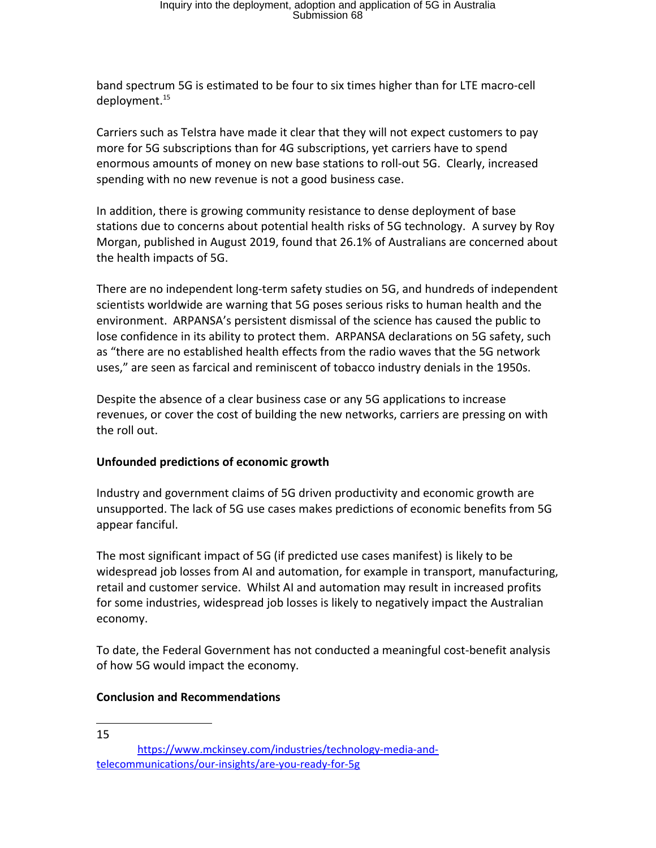band spectrum 5G is estimated to be four to six times higher than for LTE macro-cell deployment.<sup>15</sup>

Carriers such as Telstra have made it clear that they will not expect customers to pay more for 5G subscriptions than for 4G subscriptions, yet carriers have to spend enormous amounts of money on new base stations to roll-out 5G. Clearly, increased spending with no new revenue is not a good business case.

In addition, there is growing community resistance to dense deployment of base stations due to concerns about potential health risks of 5G technology. A survey by Roy Morgan, published in August 2019, found that 26.1% of Australians are concerned about the health impacts of 5G.

There are no independent long-term safety studies on 5G, and hundreds of independent scientists worldwide are warning that 5G poses serious risks to human health and the environment. ARPANSA's persistent dismissal of the science has caused the public to lose confidence in its ability to protect them. ARPANSA declarations on 5G safety, such as "there are no established health effects from the radio waves that the 5G network uses," are seen as farcical and reminiscent of tobacco industry denials in the 1950s.

Despite the absence of a clear business case or any 5G applications to increase revenues, or cover the cost of building the new networks, carriers are pressing on with the roll out.

# **Unfounded predictions of economic growth**

Industry and government claims of 5G driven productivity and economic growth are unsupported. The lack of 5G use cases makes predictions of economic benefits from 5G appear fanciful.

The most significant impact of 5G (if predicted use cases manifest) is likely to be widespread job losses from AI and automation, for example in transport, manufacturing, retail and customer service. Whilst AI and automation may result in increased profits for some industries, widespread job losses is likely to negatively impact the Australian economy.

To date, the Federal Government has not conducted a meaningful cost-benefit analysis of how 5G would impact the economy.

# **Conclusion and Recommendations**

15

https://www.mckinsey.com/industries/technology-media-andtelecommunications/our-insights/are-you-ready-for-5g